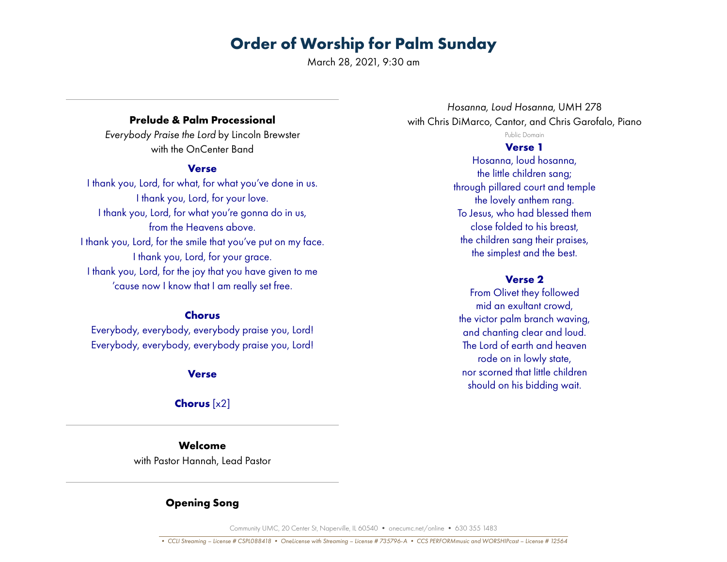March 28, 2021, 9:30 am

# **Prelude & Palm Processional**

*Everybody Praise the Lord* by Lincoln Brewster with the OnCenter Band

#### **Verse**

I thank you, Lord, for what, for what you've done in us. I thank you, Lord, for your love. I thank you, Lord, for what you're gonna do in us, from the Heavens above. I thank you, Lord, for the smile that you've put on my face. I thank you, Lord, for your grace. I thank you, Lord, for the joy that you have given to me 'cause now I know that I am really set free.

## **Chorus**

Everybody, everybody, everybody praise you, Lord! Everybody, everybody, everybody praise you, Lord!

#### **Verse**

# **Chorus** [x2]

**Welcome** with Pastor Hannah, Lead Pastor

# **Opening Song**

Community UMC, 20 Center St, Naperville, IL 60540 • onecumc.net/online • 630 355 1483

*Hosanna, Loud Hosanna*, UMH 278 with Chris DiMarco, Cantor, and Chris Garofalo, Piano Public Domain

#### **Verse 1**

Hosanna, loud hosanna, the little children sang; through pillared court and temple the lovely anthem rang. To Jesus, who had blessed them close folded to his breast, the children sang their praises, the simplest and the best.

#### **Verse 2**

From Olivet they followed mid an exultant crowd, the victor palm branch waving, and chanting clear and loud. The Lord of earth and heaven rode on in lowly state, nor scorned that little children should on his bidding wait.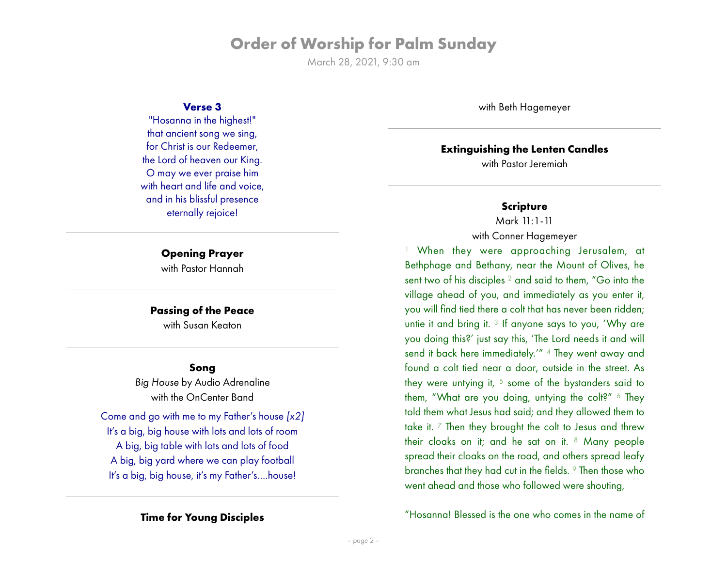March 28, 2021, 9:30 am

### **Verse 3**

"Hosanna in the highest!" that ancient song we sing, for Christ is our Redeemer, the Lord of heaven our King. O may we ever praise him with heart and life and voice, and in his blissful presence eternally rejoice!

# **Opening Prayer**

with Pastor Hannah

## **Passing of the Peace**

with Susan Keaton

#### **Song**

*Big House* by Audio Adrenaline with the OnCenter Band

Come and go with me to my Father's house *[x2]* It's a big, big house with lots and lots of room A big, big table with lots and lots of food A big, big yard where we can play football It's a big, big house, it's my Father's….house!

with Beth Hagemeyer

## **Extinguishing the Lenten Candles**

with Pastor Jeremiah

## **Scripture**

# Mark 11:1-11 with Conner Hagemeyer

<sup>1</sup> When they were approaching Jerusalem, at Bethphage and Bethany, near the Mount of Olives, he sent two of his disciples <sup>2</sup> and said to them, "Go into the village ahead of you, and immediately as you enter it, you will find tied there a colt that has never been ridden; untie it and bring it. 3 If anyone says to you, 'Why are you doing this?' just say this, 'The Lord needs it and will send it back here immediately.<sup>10</sup> 4 They went away and found a colt tied near a door, outside in the street. As they were untying it,  $5$  some of the bystanders said to them, "What are you doing, untying the colt?"  $6$  They told them what Jesus had said; and they allowed them to take it.  $7$  Then they brought the colt to Jesus and threw their cloaks on it; and he sat on it.  $8$  Many people spread their cloaks on the road, and others spread leafy branches that they had cut in the fields. 9 Then those who went ahead and those who followed were shouting,

"Hosanna! Blessed is the one who comes in the name of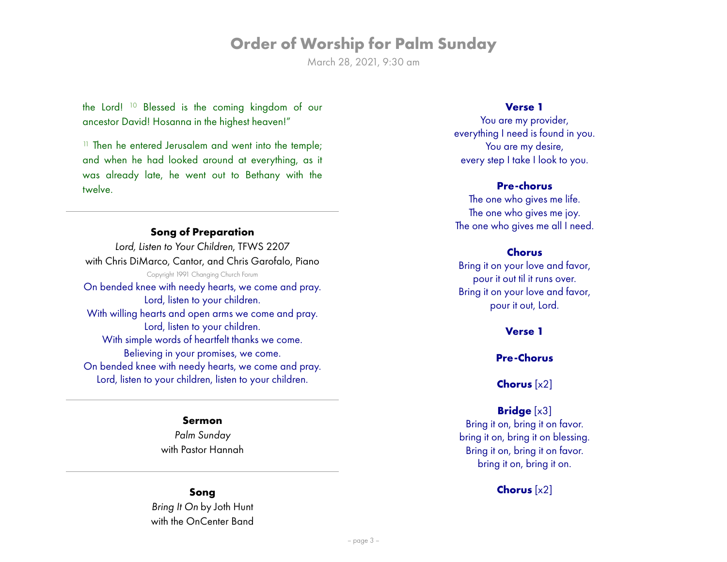March 28, 2021, 9:30 am

the Lord! 10 Blessed is the coming kingdom of our ancestor David! Hosanna in the highest heaven!"

 $11$  Then he entered Jerusalem and went into the temple; and when he had looked around at everything, as it was already late, he went out to Bethany with the twelve.

## **Song of Preparation**

*Lord, Listen to Your Children*, TFWS 2207 with Chris DiMarco, Cantor, and Chris Garofalo, Piano Copyright 1991 Changing Church Forum On bended knee with needy hearts, we come and pray. Lord, listen to your children. With willing hearts and open arms we come and pray. Lord, listen to your children. With simple words of heartfelt thanks we come. Believing in your promises, we come. On bended knee with needy hearts, we come and pray. Lord, listen to your children, listen to your children.

#### **Sermon**

*Palm Sunday* with Pastor Hannah

# **Song**

*Bring It On* by Joth Hunt with the OnCenter Band

### **Verse 1**

You are my provider, everything I need is found in you. You are my desire, every step I take I look to you.

#### **Pre-chorus**

The one who gives me life. The one who gives me joy. The one who gives me all I need.

### **Chorus**

Bring it on your love and favor, pour it out til it runs over. Bring it on your love and favor, pour it out, Lord.

#### **Verse 1**

# **Pre-Chorus**

**Chorus** [x2]

**Bridge** [x3] Bring it on, bring it on favor. bring it on, bring it on blessing. Bring it on, bring it on favor. bring it on, bring it on.

# **Chorus** [x2]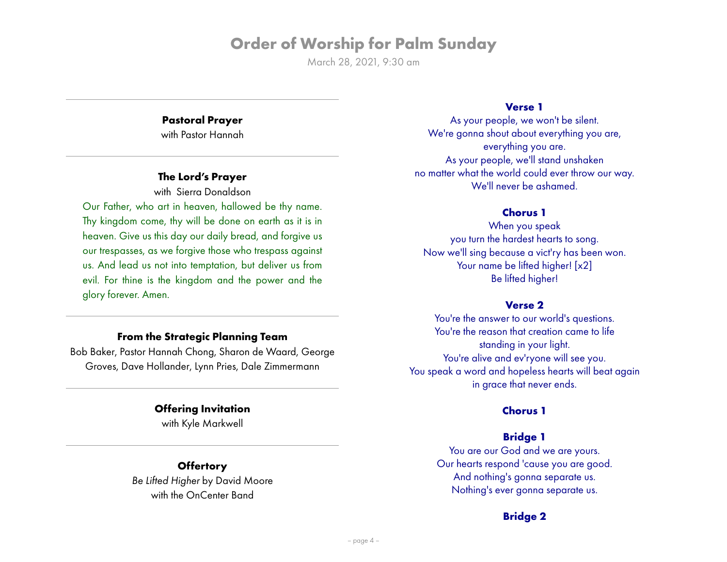March 28, 2021, 9:30 am

# **Pastoral Prayer**

with Pastor Hannah

# **The Lord's Prayer**

with Sierra Donaldson Our Father, who art in heaven, hallowed be thy name. Thy kingdom come, thy will be done on earth as it is in heaven. Give us this day our daily bread, and forgive us our trespasses, as we forgive those who trespass against us. And lead us not into temptation, but deliver us from evil. For thine is the kingdom and the power and the glory forever. Amen.

### **From the Strategic Planning Team**

Bob Baker, Pastor Hannah Chong, Sharon de Waard, George Groves, Dave Hollander, Lynn Pries, Dale Zimmermann

# **Offering Invitation**

with Kyle Markwell

# **Offertory**

*Be Lifted Higher* by David Moore with the OnCenter Band

# **Verse 1**

As your people, we won't be silent. We're gonna shout about everything you are, everything you are. As your people, we'll stand unshaken no matter what the world could ever throw our way. We'll never be ashamed.

# **Chorus 1**

When you speak you turn the hardest hearts to song. Now we'll sing because a vict'ry has been won. Your name be lifted higher! [x2] Be lifted higher!

#### **Verse 2**

You're the answer to our world's questions. You're the reason that creation came to life standing in your light. You're alive and ev'ryone will see you. You speak a word and hopeless hearts will beat again in grace that never ends.

# **Chorus 1**

# **Bridge 1**

You are our God and we are yours. Our hearts respond 'cause you are good. And nothing's gonna separate us. Nothing's ever gonna separate us.

# **Bridge 2**